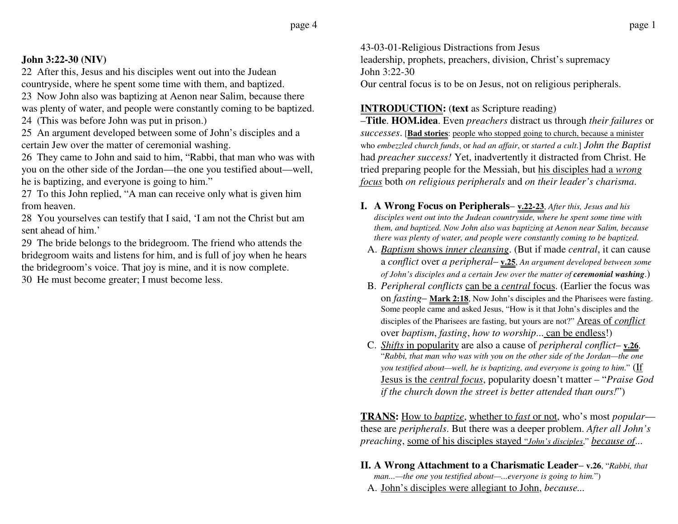## **John 3:22-30 (NIV)**

22 After this, Jesus and his disciples went out into the Judean countryside, where he spent some time with them, and baptized.

23 Now John also was baptizing at Aenon near Salim, because there was plenty of water, and people were constantly coming to be baptized.

24 (This was before John was put in prison.)

25 An argument developed between some of John's disciples and a certain Jew over the matter of ceremonial washing.

26 They came to John and said to him, "Rabbi, that man who was with you on the other side of the Jordan—the one you testified about—well, he is baptizing, and everyone is going to him."

27 To this John replied, "A man can receive only what is given him from heaven.

28 You yourselves can testify that I said, 'I am not the Christ but am sent ahead of him.'

29 The bride belongs to the bridegroom. The friend who attends the bridegroom waits and listens for him, and is full of joy when he hears the bridegroom's voice. That joy is mine, and it is now complete.

30 He must become greater; I must become less.

43-03-01-Religious Distractions from Jesus leadership, prophets, preachers, division, Christ's supremacy John 3:22-30Our central focus is to be on Jesus, not on religious peripherals.

**INTRODUCTION:** (**text** as Scripture reading)

–**Title**. **HOM.idea**. Even *preachers* distract us through *their failures* or *successes*. [**Bad stories**: people who stopped going to church, because a minister who *embezzled church funds*, or *had an affair*, or *started a cult*.] *John the Baptist* had *preacher success!* Yet, inadvertently it distracted from Christ. He tried preparing people for the Messiah, but his disciples had a *wrong focus* both *on religious peripherals* and *on their leader's charisma*.

- **I. A Wrong Focus on Peripherals v.22-23**, *After this, Jesus and his disciples went out into the Judean countryside, where he spent some time with them, and baptized. Now John also was baptizing at Aenon near Salim, because there was plenty of water, and people were constantly coming to be baptized.*
	- A. *Baptism* shows *inner cleansing*. (But if made *central*, it can cause <sup>a</sup>*conflict* over *a peripheral*– **v.25**, *An argument developed between some of John's disciples and a certain Jew over the matter of <i>ceremonial washing*.)
	- B. *Peripheral conflicts* can be a *central* focus. (Earlier the focus was on *fasting*– **Mark 2:18**, Now John's disciples and the Pharisees were fasting. Some people came and asked Jesus, "How is it that John's disciples and the disciples of the Pharisees are fasting, but yours are not?" Areas of *conflict* over *baptism*, *fasting*, *how to worship*... can be endless!)
	- C. *Shifts* in popularity are also a cause of *peripheral conflict* **v.26**, "*Rabbi, that man who was with you on the other side of the Jordan—the one you testified about—well, he is baptizing, and everyone is going to him*." (If Jesus is the *central focus*, popularity doesn't matter – "*Praise God if the church down the street is better attended than ours!*")

**TRANS:** How to *baptize*, whether to *fast* or not, who's most *popular* these are *peripherals*. But there was a deeper problem. *After all John's preaching*, some of his disciples stayed "*John's disciples*," *because of*...

**II. A Wrong Attachment to a Charismatic Leader**– **v.26**, "*Rabbi, that*

*man...—the one you testified about—...everyone is going to him.*")

A. John's disciples were allegiant to John, *because...*